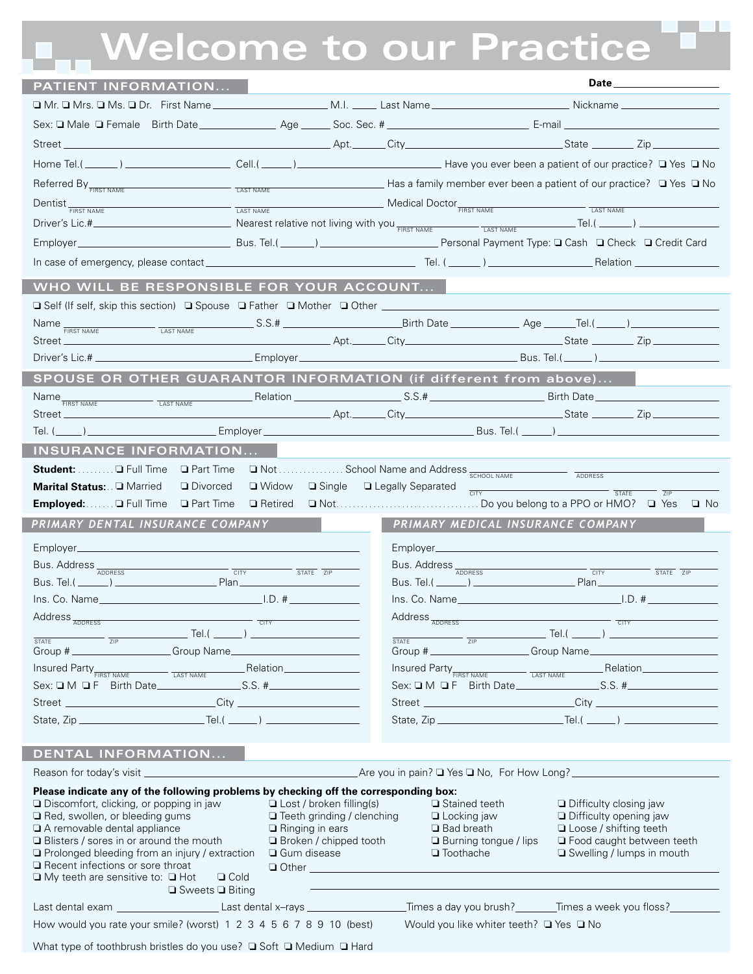## **T.** Welcome to our Practice

| Home Tel.(______) ________________________Cell.(______) ___________________________Have you ever been a patient of our practice? □ Yes □ No<br>Referred By <b>FIRST NAME CAST NAME LAST NAME CAST NAME CAST NAME CAST NAME CAST NAME CAST NAME CAST NAME CAST NAME CAST NAME CAST NAME CAST NAME CAST NAME CAST NAME CAST NAME CAST NAME CAS</b><br>$\begin{array}{c}\n\hline\n\text{LAST NAME}\n\end{array}\n\begin{array}{c}\n\hline\n\text{LAST NAME}\n\end{array}\n\begin{array}{c}\n\hline\n\text{LAST NAME}\n\end{array}\n\begin{array}{c}\n\hline\n\text{LAST NAME}\n\end{array}\n\begin{array}{c}\n\hline\n\text{LAST NAME}\n\end{array}$<br>Dentist <sub>FIRST NAME</sub><br>WHO WILL BE RESPONSIBLE FOR YOUR ACCOUNT<br>□ Self (If self, skip this section) □ Spouse □ Father □ Mother □ Other _____________________________<br>Name <b>FIRST NAME</b><br>Street<br>SPOUSE OR OTHER GUARANTOR INFORMATION (if different from above)<br>Name <sub>FIRST NAME</sub><br>LAST NAME<br>Street<br><b>INSURANCE INFORMATION</b><br>Student:  □ Full Time □ Part Time □ Not  School Name and Address SCHOOL NAME<br>ADDRESS<br>$\Box$ Single $\Box$ Legally Separated $\frac{1}{\Box$ TY<br>Marital Status: Q Married<br>$\Box$ Widow<br>□ Divorced<br>STATE<br>7IP<br>Employed:  Q Full Time<br>□ Part Time<br>□ Retired<br>PRIMARY DENTAL INSURANCE COMPANY<br>PRIMARY MEDICAL INSURANCE COMPANY<br>Bus. Address ADDRESS<br>Bus. Address ADDRESS<br>CITY<br>$\overline{\text{STATE}}$ $\overline{\text{ZIP}}$<br><b>CITY</b><br>$\overline{\text{STATE}}$ $\overline{\text{ZIP}}$<br><b>Plan</b><br>Address <sub>ADDRESS</sub><br>$Address \frac{1}{ADDRESS}$<br>$\overline{\text{S}}$<br>_ Tel.( ______ ) ________________________<br>_ Tel.( ______ ) ________________________<br>ZIP<br>ZIP<br><b>STATE</b><br><b>STATE</b><br>Group # Comp Name<br>$\textit{Insured Party}_{\textit{FIRST NAME}} \textit{ \underline{\hspace{1cm}} \underline{\hspace{1cm}} \underline{\hspace{1cm}} \underline{\hspace{1cm}} \underline{\hspace{1cm}} \underline{\hspace{1cm}} \underline{\hspace{1cm}} \underline{\hspace{1cm}} \underline{\hspace{1cm}} \underline{\hspace{1cm}} \underline{\hspace{1cm}} \underline{\hspace{1cm}} \underline{\hspace{1cm}} \underline{\hspace{1cm}} \underline{\hspace{1cm}} \underline{\hspace{1cm}} \underline{\hspace{1cm}} \underline{\hspace{1cm}} \underline{\hspace{1cm}} \underline{\hspace{1cm}} \underline{\hspace{1cm}} \underline{\hspace{1cm}} \underline$<br>$\begin{tabular}{c} \hline \texttt{LAST NAME} \end{tabular} \begin{tabular}{c} \texttt{LAST NAME} \end{tabular} \begin{tabular}{c} \texttt{LAST NAME} \end{tabular} \begin{tabular}{c} \texttt{LAST NAME} \end{tabular} \end{tabular} \begin{tabular}{c} \texttt{LAST NAME} \end{tabular} \begin{tabular}{c} \texttt{LAST NAME} \end{tabular} \end{tabular} \begin{tabular}{c} \texttt{LAST NAME} \end{tabular} \begin{tabular}{c} \texttt{LAST NAME} \end{tabular} \end{tabular} \begin{tabular}{c} \texttt{LAST NAME} \end{tabular} \$<br>Insured Party <sub>FIRST NAME</sub><br>DENTAL INFORMATION<br>Are you in pain? The Yes Tho, For How Long?<br>Please indicate any of the following problems by checking off the corresponding box:<br>$\Box$ Discomfort, clicking, or popping in jaw<br>$\Box$ Lost / broken filling(s)<br>□ Stained teeth<br>$\Box$ Difficulty closing jaw<br>Red, swollen, or bleeding gums<br>□ Teeth grinding / clenching<br>$\Box$ Locking jaw<br><b>Difficulty opening jaw</b><br>A removable dental appliance<br>$\Box$ Ringing in ears<br>□ Bad breath<br>$\Box$ Loose / shifting teeth<br>Blisters / sores in or around the mouth<br>$\Box$ Broken / chipped tooth<br><b>Burning tongue / lips</b><br><b>D</b> Food caught between teeth<br>$\Box$ Prolonged bleeding from an injury / extraction<br>□ Gum disease<br>$\Box$ Toothache<br>□ Swelling / lumps in mouth<br>$\Box$ Recent infections or sore throat<br>Other Committee Committee Committee Committee Committee Committee Committee Committee Committee Committee Committee Committee Committee Committee Committee Committee Committee Committee Committee Committee Committee Commit<br>$\Box$ My teeth are sensitive to: $\Box$ Hot<br>$\Box$ Cold<br>$\Box$ Sweets $\Box$ Biting<br>Last dental exam ______________________Last dental x-rays _____________________Times a day you brush?________Times a week you floss?______________<br>How would you rate your smile? (worst) 1 2 3 4 5 6 7 8 9 10 (best)<br>Would you like whiter teeth? □ Yes □ No | PATIENT INFORMATION |  |  |
|-------------------------------------------------------------------------------------------------------------------------------------------------------------------------------------------------------------------------------------------------------------------------------------------------------------------------------------------------------------------------------------------------------------------------------------------------------------------------------------------------------------------------------------------------------------------------------------------------------------------------------------------------------------------------------------------------------------------------------------------------------------------------------------------------------------------------------------------------------------------------------------------------------------------------------------------------------------------------------------------------------------------------------------------------------------------------------------------------------------------------------------------------------------------------------------------------------------------------------------------------------------------------------------------------------------------------------------------------------------------------------------------------------------------------------------------------------------------------------------------------------------------------------------------------------------------------------------------------------------------------------------------------------------------------------------------------------------------------------------------------------------------------------------------------------------------------------------------------------------------------------------------------------------------------------------------------------------------------------------------------------------------------------------------------------------------------------------------------------------------------------------------------------------------------------------------------------------------------------------------------------------------------------------------------------------------------------------------------------------------------------------------------------------------------------------------------------------------------------------------------------------------------------------------------------------------------------------------------------------------------------------------------------------------------------------------------------------------------------------------------------------------------------------------------------------------------------------------------------------------------------------------------------------------------------------------------------------------------------------------------------------------------------------------------------------------------------------------------------------------------------------------------------------------------------------------------------------------------------------------------------------------------------------------------------------------------------------------------------------------------------------------------------------------------------------------------------------------------------------------------------------------------------------------------------------------------------------------------------------------------------------------------------------------------------------------------------------------------------------------------------------------------------------------------------------------------------------------------------------------------------------------------------------------------------------------------------------------------------------------------------------------------------------------------------------------------------------------------------------------------------------------------------------------------------------------------------------------------------------------------------------------------------------------------------------------------------------------------------------------------------------------------------------------------------------------------------------------------------------------------------------------------------------------------------------------|---------------------|--|--|
|                                                                                                                                                                                                                                                                                                                                                                                                                                                                                                                                                                                                                                                                                                                                                                                                                                                                                                                                                                                                                                                                                                                                                                                                                                                                                                                                                                                                                                                                                                                                                                                                                                                                                                                                                                                                                                                                                                                                                                                                                                                                                                                                                                                                                                                                                                                                                                                                                                                                                                                                                                                                                                                                                                                                                                                                                                                                                                                                                                                                                                                                                                                                                                                                                                                                                                                                                                                                                                                                                                                                                                                                                                                                                                                                                                                                                                                                                                                                                                                                                                                                                                                                                                                                                                                                                                                                                                                                                                                                                                                                                                   |                     |  |  |
|                                                                                                                                                                                                                                                                                                                                                                                                                                                                                                                                                                                                                                                                                                                                                                                                                                                                                                                                                                                                                                                                                                                                                                                                                                                                                                                                                                                                                                                                                                                                                                                                                                                                                                                                                                                                                                                                                                                                                                                                                                                                                                                                                                                                                                                                                                                                                                                                                                                                                                                                                                                                                                                                                                                                                                                                                                                                                                                                                                                                                                                                                                                                                                                                                                                                                                                                                                                                                                                                                                                                                                                                                                                                                                                                                                                                                                                                                                                                                                                                                                                                                                                                                                                                                                                                                                                                                                                                                                                                                                                                                                   |                     |  |  |
|                                                                                                                                                                                                                                                                                                                                                                                                                                                                                                                                                                                                                                                                                                                                                                                                                                                                                                                                                                                                                                                                                                                                                                                                                                                                                                                                                                                                                                                                                                                                                                                                                                                                                                                                                                                                                                                                                                                                                                                                                                                                                                                                                                                                                                                                                                                                                                                                                                                                                                                                                                                                                                                                                                                                                                                                                                                                                                                                                                                                                                                                                                                                                                                                                                                                                                                                                                                                                                                                                                                                                                                                                                                                                                                                                                                                                                                                                                                                                                                                                                                                                                                                                                                                                                                                                                                                                                                                                                                                                                                                                                   |                     |  |  |
|                                                                                                                                                                                                                                                                                                                                                                                                                                                                                                                                                                                                                                                                                                                                                                                                                                                                                                                                                                                                                                                                                                                                                                                                                                                                                                                                                                                                                                                                                                                                                                                                                                                                                                                                                                                                                                                                                                                                                                                                                                                                                                                                                                                                                                                                                                                                                                                                                                                                                                                                                                                                                                                                                                                                                                                                                                                                                                                                                                                                                                                                                                                                                                                                                                                                                                                                                                                                                                                                                                                                                                                                                                                                                                                                                                                                                                                                                                                                                                                                                                                                                                                                                                                                                                                                                                                                                                                                                                                                                                                                                                   |                     |  |  |
|                                                                                                                                                                                                                                                                                                                                                                                                                                                                                                                                                                                                                                                                                                                                                                                                                                                                                                                                                                                                                                                                                                                                                                                                                                                                                                                                                                                                                                                                                                                                                                                                                                                                                                                                                                                                                                                                                                                                                                                                                                                                                                                                                                                                                                                                                                                                                                                                                                                                                                                                                                                                                                                                                                                                                                                                                                                                                                                                                                                                                                                                                                                                                                                                                                                                                                                                                                                                                                                                                                                                                                                                                                                                                                                                                                                                                                                                                                                                                                                                                                                                                                                                                                                                                                                                                                                                                                                                                                                                                                                                                                   |                     |  |  |
|                                                                                                                                                                                                                                                                                                                                                                                                                                                                                                                                                                                                                                                                                                                                                                                                                                                                                                                                                                                                                                                                                                                                                                                                                                                                                                                                                                                                                                                                                                                                                                                                                                                                                                                                                                                                                                                                                                                                                                                                                                                                                                                                                                                                                                                                                                                                                                                                                                                                                                                                                                                                                                                                                                                                                                                                                                                                                                                                                                                                                                                                                                                                                                                                                                                                                                                                                                                                                                                                                                                                                                                                                                                                                                                                                                                                                                                                                                                                                                                                                                                                                                                                                                                                                                                                                                                                                                                                                                                                                                                                                                   |                     |  |  |
|                                                                                                                                                                                                                                                                                                                                                                                                                                                                                                                                                                                                                                                                                                                                                                                                                                                                                                                                                                                                                                                                                                                                                                                                                                                                                                                                                                                                                                                                                                                                                                                                                                                                                                                                                                                                                                                                                                                                                                                                                                                                                                                                                                                                                                                                                                                                                                                                                                                                                                                                                                                                                                                                                                                                                                                                                                                                                                                                                                                                                                                                                                                                                                                                                                                                                                                                                                                                                                                                                                                                                                                                                                                                                                                                                                                                                                                                                                                                                                                                                                                                                                                                                                                                                                                                                                                                                                                                                                                                                                                                                                   |                     |  |  |
|                                                                                                                                                                                                                                                                                                                                                                                                                                                                                                                                                                                                                                                                                                                                                                                                                                                                                                                                                                                                                                                                                                                                                                                                                                                                                                                                                                                                                                                                                                                                                                                                                                                                                                                                                                                                                                                                                                                                                                                                                                                                                                                                                                                                                                                                                                                                                                                                                                                                                                                                                                                                                                                                                                                                                                                                                                                                                                                                                                                                                                                                                                                                                                                                                                                                                                                                                                                                                                                                                                                                                                                                                                                                                                                                                                                                                                                                                                                                                                                                                                                                                                                                                                                                                                                                                                                                                                                                                                                                                                                                                                   |                     |  |  |
|                                                                                                                                                                                                                                                                                                                                                                                                                                                                                                                                                                                                                                                                                                                                                                                                                                                                                                                                                                                                                                                                                                                                                                                                                                                                                                                                                                                                                                                                                                                                                                                                                                                                                                                                                                                                                                                                                                                                                                                                                                                                                                                                                                                                                                                                                                                                                                                                                                                                                                                                                                                                                                                                                                                                                                                                                                                                                                                                                                                                                                                                                                                                                                                                                                                                                                                                                                                                                                                                                                                                                                                                                                                                                                                                                                                                                                                                                                                                                                                                                                                                                                                                                                                                                                                                                                                                                                                                                                                                                                                                                                   |                     |  |  |
|                                                                                                                                                                                                                                                                                                                                                                                                                                                                                                                                                                                                                                                                                                                                                                                                                                                                                                                                                                                                                                                                                                                                                                                                                                                                                                                                                                                                                                                                                                                                                                                                                                                                                                                                                                                                                                                                                                                                                                                                                                                                                                                                                                                                                                                                                                                                                                                                                                                                                                                                                                                                                                                                                                                                                                                                                                                                                                                                                                                                                                                                                                                                                                                                                                                                                                                                                                                                                                                                                                                                                                                                                                                                                                                                                                                                                                                                                                                                                                                                                                                                                                                                                                                                                                                                                                                                                                                                                                                                                                                                                                   |                     |  |  |
|                                                                                                                                                                                                                                                                                                                                                                                                                                                                                                                                                                                                                                                                                                                                                                                                                                                                                                                                                                                                                                                                                                                                                                                                                                                                                                                                                                                                                                                                                                                                                                                                                                                                                                                                                                                                                                                                                                                                                                                                                                                                                                                                                                                                                                                                                                                                                                                                                                                                                                                                                                                                                                                                                                                                                                                                                                                                                                                                                                                                                                                                                                                                                                                                                                                                                                                                                                                                                                                                                                                                                                                                                                                                                                                                                                                                                                                                                                                                                                                                                                                                                                                                                                                                                                                                                                                                                                                                                                                                                                                                                                   |                     |  |  |
|                                                                                                                                                                                                                                                                                                                                                                                                                                                                                                                                                                                                                                                                                                                                                                                                                                                                                                                                                                                                                                                                                                                                                                                                                                                                                                                                                                                                                                                                                                                                                                                                                                                                                                                                                                                                                                                                                                                                                                                                                                                                                                                                                                                                                                                                                                                                                                                                                                                                                                                                                                                                                                                                                                                                                                                                                                                                                                                                                                                                                                                                                                                                                                                                                                                                                                                                                                                                                                                                                                                                                                                                                                                                                                                                                                                                                                                                                                                                                                                                                                                                                                                                                                                                                                                                                                                                                                                                                                                                                                                                                                   |                     |  |  |
|                                                                                                                                                                                                                                                                                                                                                                                                                                                                                                                                                                                                                                                                                                                                                                                                                                                                                                                                                                                                                                                                                                                                                                                                                                                                                                                                                                                                                                                                                                                                                                                                                                                                                                                                                                                                                                                                                                                                                                                                                                                                                                                                                                                                                                                                                                                                                                                                                                                                                                                                                                                                                                                                                                                                                                                                                                                                                                                                                                                                                                                                                                                                                                                                                                                                                                                                                                                                                                                                                                                                                                                                                                                                                                                                                                                                                                                                                                                                                                                                                                                                                                                                                                                                                                                                                                                                                                                                                                                                                                                                                                   |                     |  |  |
|                                                                                                                                                                                                                                                                                                                                                                                                                                                                                                                                                                                                                                                                                                                                                                                                                                                                                                                                                                                                                                                                                                                                                                                                                                                                                                                                                                                                                                                                                                                                                                                                                                                                                                                                                                                                                                                                                                                                                                                                                                                                                                                                                                                                                                                                                                                                                                                                                                                                                                                                                                                                                                                                                                                                                                                                                                                                                                                                                                                                                                                                                                                                                                                                                                                                                                                                                                                                                                                                                                                                                                                                                                                                                                                                                                                                                                                                                                                                                                                                                                                                                                                                                                                                                                                                                                                                                                                                                                                                                                                                                                   |                     |  |  |
|                                                                                                                                                                                                                                                                                                                                                                                                                                                                                                                                                                                                                                                                                                                                                                                                                                                                                                                                                                                                                                                                                                                                                                                                                                                                                                                                                                                                                                                                                                                                                                                                                                                                                                                                                                                                                                                                                                                                                                                                                                                                                                                                                                                                                                                                                                                                                                                                                                                                                                                                                                                                                                                                                                                                                                                                                                                                                                                                                                                                                                                                                                                                                                                                                                                                                                                                                                                                                                                                                                                                                                                                                                                                                                                                                                                                                                                                                                                                                                                                                                                                                                                                                                                                                                                                                                                                                                                                                                                                                                                                                                   |                     |  |  |
|                                                                                                                                                                                                                                                                                                                                                                                                                                                                                                                                                                                                                                                                                                                                                                                                                                                                                                                                                                                                                                                                                                                                                                                                                                                                                                                                                                                                                                                                                                                                                                                                                                                                                                                                                                                                                                                                                                                                                                                                                                                                                                                                                                                                                                                                                                                                                                                                                                                                                                                                                                                                                                                                                                                                                                                                                                                                                                                                                                                                                                                                                                                                                                                                                                                                                                                                                                                                                                                                                                                                                                                                                                                                                                                                                                                                                                                                                                                                                                                                                                                                                                                                                                                                                                                                                                                                                                                                                                                                                                                                                                   |                     |  |  |
|                                                                                                                                                                                                                                                                                                                                                                                                                                                                                                                                                                                                                                                                                                                                                                                                                                                                                                                                                                                                                                                                                                                                                                                                                                                                                                                                                                                                                                                                                                                                                                                                                                                                                                                                                                                                                                                                                                                                                                                                                                                                                                                                                                                                                                                                                                                                                                                                                                                                                                                                                                                                                                                                                                                                                                                                                                                                                                                                                                                                                                                                                                                                                                                                                                                                                                                                                                                                                                                                                                                                                                                                                                                                                                                                                                                                                                                                                                                                                                                                                                                                                                                                                                                                                                                                                                                                                                                                                                                                                                                                                                   |                     |  |  |
|                                                                                                                                                                                                                                                                                                                                                                                                                                                                                                                                                                                                                                                                                                                                                                                                                                                                                                                                                                                                                                                                                                                                                                                                                                                                                                                                                                                                                                                                                                                                                                                                                                                                                                                                                                                                                                                                                                                                                                                                                                                                                                                                                                                                                                                                                                                                                                                                                                                                                                                                                                                                                                                                                                                                                                                                                                                                                                                                                                                                                                                                                                                                                                                                                                                                                                                                                                                                                                                                                                                                                                                                                                                                                                                                                                                                                                                                                                                                                                                                                                                                                                                                                                                                                                                                                                                                                                                                                                                                                                                                                                   |                     |  |  |
|                                                                                                                                                                                                                                                                                                                                                                                                                                                                                                                                                                                                                                                                                                                                                                                                                                                                                                                                                                                                                                                                                                                                                                                                                                                                                                                                                                                                                                                                                                                                                                                                                                                                                                                                                                                                                                                                                                                                                                                                                                                                                                                                                                                                                                                                                                                                                                                                                                                                                                                                                                                                                                                                                                                                                                                                                                                                                                                                                                                                                                                                                                                                                                                                                                                                                                                                                                                                                                                                                                                                                                                                                                                                                                                                                                                                                                                                                                                                                                                                                                                                                                                                                                                                                                                                                                                                                                                                                                                                                                                                                                   |                     |  |  |
|                                                                                                                                                                                                                                                                                                                                                                                                                                                                                                                                                                                                                                                                                                                                                                                                                                                                                                                                                                                                                                                                                                                                                                                                                                                                                                                                                                                                                                                                                                                                                                                                                                                                                                                                                                                                                                                                                                                                                                                                                                                                                                                                                                                                                                                                                                                                                                                                                                                                                                                                                                                                                                                                                                                                                                                                                                                                                                                                                                                                                                                                                                                                                                                                                                                                                                                                                                                                                                                                                                                                                                                                                                                                                                                                                                                                                                                                                                                                                                                                                                                                                                                                                                                                                                                                                                                                                                                                                                                                                                                                                                   |                     |  |  |
|                                                                                                                                                                                                                                                                                                                                                                                                                                                                                                                                                                                                                                                                                                                                                                                                                                                                                                                                                                                                                                                                                                                                                                                                                                                                                                                                                                                                                                                                                                                                                                                                                                                                                                                                                                                                                                                                                                                                                                                                                                                                                                                                                                                                                                                                                                                                                                                                                                                                                                                                                                                                                                                                                                                                                                                                                                                                                                                                                                                                                                                                                                                                                                                                                                                                                                                                                                                                                                                                                                                                                                                                                                                                                                                                                                                                                                                                                                                                                                                                                                                                                                                                                                                                                                                                                                                                                                                                                                                                                                                                                                   |                     |  |  |
|                                                                                                                                                                                                                                                                                                                                                                                                                                                                                                                                                                                                                                                                                                                                                                                                                                                                                                                                                                                                                                                                                                                                                                                                                                                                                                                                                                                                                                                                                                                                                                                                                                                                                                                                                                                                                                                                                                                                                                                                                                                                                                                                                                                                                                                                                                                                                                                                                                                                                                                                                                                                                                                                                                                                                                                                                                                                                                                                                                                                                                                                                                                                                                                                                                                                                                                                                                                                                                                                                                                                                                                                                                                                                                                                                                                                                                                                                                                                                                                                                                                                                                                                                                                                                                                                                                                                                                                                                                                                                                                                                                   |                     |  |  |
|                                                                                                                                                                                                                                                                                                                                                                                                                                                                                                                                                                                                                                                                                                                                                                                                                                                                                                                                                                                                                                                                                                                                                                                                                                                                                                                                                                                                                                                                                                                                                                                                                                                                                                                                                                                                                                                                                                                                                                                                                                                                                                                                                                                                                                                                                                                                                                                                                                                                                                                                                                                                                                                                                                                                                                                                                                                                                                                                                                                                                                                                                                                                                                                                                                                                                                                                                                                                                                                                                                                                                                                                                                                                                                                                                                                                                                                                                                                                                                                                                                                                                                                                                                                                                                                                                                                                                                                                                                                                                                                                                                   |                     |  |  |
|                                                                                                                                                                                                                                                                                                                                                                                                                                                                                                                                                                                                                                                                                                                                                                                                                                                                                                                                                                                                                                                                                                                                                                                                                                                                                                                                                                                                                                                                                                                                                                                                                                                                                                                                                                                                                                                                                                                                                                                                                                                                                                                                                                                                                                                                                                                                                                                                                                                                                                                                                                                                                                                                                                                                                                                                                                                                                                                                                                                                                                                                                                                                                                                                                                                                                                                                                                                                                                                                                                                                                                                                                                                                                                                                                                                                                                                                                                                                                                                                                                                                                                                                                                                                                                                                                                                                                                                                                                                                                                                                                                   |                     |  |  |
|                                                                                                                                                                                                                                                                                                                                                                                                                                                                                                                                                                                                                                                                                                                                                                                                                                                                                                                                                                                                                                                                                                                                                                                                                                                                                                                                                                                                                                                                                                                                                                                                                                                                                                                                                                                                                                                                                                                                                                                                                                                                                                                                                                                                                                                                                                                                                                                                                                                                                                                                                                                                                                                                                                                                                                                                                                                                                                                                                                                                                                                                                                                                                                                                                                                                                                                                                                                                                                                                                                                                                                                                                                                                                                                                                                                                                                                                                                                                                                                                                                                                                                                                                                                                                                                                                                                                                                                                                                                                                                                                                                   |                     |  |  |
|                                                                                                                                                                                                                                                                                                                                                                                                                                                                                                                                                                                                                                                                                                                                                                                                                                                                                                                                                                                                                                                                                                                                                                                                                                                                                                                                                                                                                                                                                                                                                                                                                                                                                                                                                                                                                                                                                                                                                                                                                                                                                                                                                                                                                                                                                                                                                                                                                                                                                                                                                                                                                                                                                                                                                                                                                                                                                                                                                                                                                                                                                                                                                                                                                                                                                                                                                                                                                                                                                                                                                                                                                                                                                                                                                                                                                                                                                                                                                                                                                                                                                                                                                                                                                                                                                                                                                                                                                                                                                                                                                                   |                     |  |  |
|                                                                                                                                                                                                                                                                                                                                                                                                                                                                                                                                                                                                                                                                                                                                                                                                                                                                                                                                                                                                                                                                                                                                                                                                                                                                                                                                                                                                                                                                                                                                                                                                                                                                                                                                                                                                                                                                                                                                                                                                                                                                                                                                                                                                                                                                                                                                                                                                                                                                                                                                                                                                                                                                                                                                                                                                                                                                                                                                                                                                                                                                                                                                                                                                                                                                                                                                                                                                                                                                                                                                                                                                                                                                                                                                                                                                                                                                                                                                                                                                                                                                                                                                                                                                                                                                                                                                                                                                                                                                                                                                                                   |                     |  |  |
|                                                                                                                                                                                                                                                                                                                                                                                                                                                                                                                                                                                                                                                                                                                                                                                                                                                                                                                                                                                                                                                                                                                                                                                                                                                                                                                                                                                                                                                                                                                                                                                                                                                                                                                                                                                                                                                                                                                                                                                                                                                                                                                                                                                                                                                                                                                                                                                                                                                                                                                                                                                                                                                                                                                                                                                                                                                                                                                                                                                                                                                                                                                                                                                                                                                                                                                                                                                                                                                                                                                                                                                                                                                                                                                                                                                                                                                                                                                                                                                                                                                                                                                                                                                                                                                                                                                                                                                                                                                                                                                                                                   |                     |  |  |
|                                                                                                                                                                                                                                                                                                                                                                                                                                                                                                                                                                                                                                                                                                                                                                                                                                                                                                                                                                                                                                                                                                                                                                                                                                                                                                                                                                                                                                                                                                                                                                                                                                                                                                                                                                                                                                                                                                                                                                                                                                                                                                                                                                                                                                                                                                                                                                                                                                                                                                                                                                                                                                                                                                                                                                                                                                                                                                                                                                                                                                                                                                                                                                                                                                                                                                                                                                                                                                                                                                                                                                                                                                                                                                                                                                                                                                                                                                                                                                                                                                                                                                                                                                                                                                                                                                                                                                                                                                                                                                                                                                   |                     |  |  |
|                                                                                                                                                                                                                                                                                                                                                                                                                                                                                                                                                                                                                                                                                                                                                                                                                                                                                                                                                                                                                                                                                                                                                                                                                                                                                                                                                                                                                                                                                                                                                                                                                                                                                                                                                                                                                                                                                                                                                                                                                                                                                                                                                                                                                                                                                                                                                                                                                                                                                                                                                                                                                                                                                                                                                                                                                                                                                                                                                                                                                                                                                                                                                                                                                                                                                                                                                                                                                                                                                                                                                                                                                                                                                                                                                                                                                                                                                                                                                                                                                                                                                                                                                                                                                                                                                                                                                                                                                                                                                                                                                                   |                     |  |  |
|                                                                                                                                                                                                                                                                                                                                                                                                                                                                                                                                                                                                                                                                                                                                                                                                                                                                                                                                                                                                                                                                                                                                                                                                                                                                                                                                                                                                                                                                                                                                                                                                                                                                                                                                                                                                                                                                                                                                                                                                                                                                                                                                                                                                                                                                                                                                                                                                                                                                                                                                                                                                                                                                                                                                                                                                                                                                                                                                                                                                                                                                                                                                                                                                                                                                                                                                                                                                                                                                                                                                                                                                                                                                                                                                                                                                                                                                                                                                                                                                                                                                                                                                                                                                                                                                                                                                                                                                                                                                                                                                                                   |                     |  |  |
|                                                                                                                                                                                                                                                                                                                                                                                                                                                                                                                                                                                                                                                                                                                                                                                                                                                                                                                                                                                                                                                                                                                                                                                                                                                                                                                                                                                                                                                                                                                                                                                                                                                                                                                                                                                                                                                                                                                                                                                                                                                                                                                                                                                                                                                                                                                                                                                                                                                                                                                                                                                                                                                                                                                                                                                                                                                                                                                                                                                                                                                                                                                                                                                                                                                                                                                                                                                                                                                                                                                                                                                                                                                                                                                                                                                                                                                                                                                                                                                                                                                                                                                                                                                                                                                                                                                                                                                                                                                                                                                                                                   |                     |  |  |
|                                                                                                                                                                                                                                                                                                                                                                                                                                                                                                                                                                                                                                                                                                                                                                                                                                                                                                                                                                                                                                                                                                                                                                                                                                                                                                                                                                                                                                                                                                                                                                                                                                                                                                                                                                                                                                                                                                                                                                                                                                                                                                                                                                                                                                                                                                                                                                                                                                                                                                                                                                                                                                                                                                                                                                                                                                                                                                                                                                                                                                                                                                                                                                                                                                                                                                                                                                                                                                                                                                                                                                                                                                                                                                                                                                                                                                                                                                                                                                                                                                                                                                                                                                                                                                                                                                                                                                                                                                                                                                                                                                   |                     |  |  |
|                                                                                                                                                                                                                                                                                                                                                                                                                                                                                                                                                                                                                                                                                                                                                                                                                                                                                                                                                                                                                                                                                                                                                                                                                                                                                                                                                                                                                                                                                                                                                                                                                                                                                                                                                                                                                                                                                                                                                                                                                                                                                                                                                                                                                                                                                                                                                                                                                                                                                                                                                                                                                                                                                                                                                                                                                                                                                                                                                                                                                                                                                                                                                                                                                                                                                                                                                                                                                                                                                                                                                                                                                                                                                                                                                                                                                                                                                                                                                                                                                                                                                                                                                                                                                                                                                                                                                                                                                                                                                                                                                                   |                     |  |  |
|                                                                                                                                                                                                                                                                                                                                                                                                                                                                                                                                                                                                                                                                                                                                                                                                                                                                                                                                                                                                                                                                                                                                                                                                                                                                                                                                                                                                                                                                                                                                                                                                                                                                                                                                                                                                                                                                                                                                                                                                                                                                                                                                                                                                                                                                                                                                                                                                                                                                                                                                                                                                                                                                                                                                                                                                                                                                                                                                                                                                                                                                                                                                                                                                                                                                                                                                                                                                                                                                                                                                                                                                                                                                                                                                                                                                                                                                                                                                                                                                                                                                                                                                                                                                                                                                                                                                                                                                                                                                                                                                                                   |                     |  |  |
|                                                                                                                                                                                                                                                                                                                                                                                                                                                                                                                                                                                                                                                                                                                                                                                                                                                                                                                                                                                                                                                                                                                                                                                                                                                                                                                                                                                                                                                                                                                                                                                                                                                                                                                                                                                                                                                                                                                                                                                                                                                                                                                                                                                                                                                                                                                                                                                                                                                                                                                                                                                                                                                                                                                                                                                                                                                                                                                                                                                                                                                                                                                                                                                                                                                                                                                                                                                                                                                                                                                                                                                                                                                                                                                                                                                                                                                                                                                                                                                                                                                                                                                                                                                                                                                                                                                                                                                                                                                                                                                                                                   |                     |  |  |
|                                                                                                                                                                                                                                                                                                                                                                                                                                                                                                                                                                                                                                                                                                                                                                                                                                                                                                                                                                                                                                                                                                                                                                                                                                                                                                                                                                                                                                                                                                                                                                                                                                                                                                                                                                                                                                                                                                                                                                                                                                                                                                                                                                                                                                                                                                                                                                                                                                                                                                                                                                                                                                                                                                                                                                                                                                                                                                                                                                                                                                                                                                                                                                                                                                                                                                                                                                                                                                                                                                                                                                                                                                                                                                                                                                                                                                                                                                                                                                                                                                                                                                                                                                                                                                                                                                                                                                                                                                                                                                                                                                   |                     |  |  |
|                                                                                                                                                                                                                                                                                                                                                                                                                                                                                                                                                                                                                                                                                                                                                                                                                                                                                                                                                                                                                                                                                                                                                                                                                                                                                                                                                                                                                                                                                                                                                                                                                                                                                                                                                                                                                                                                                                                                                                                                                                                                                                                                                                                                                                                                                                                                                                                                                                                                                                                                                                                                                                                                                                                                                                                                                                                                                                                                                                                                                                                                                                                                                                                                                                                                                                                                                                                                                                                                                                                                                                                                                                                                                                                                                                                                                                                                                                                                                                                                                                                                                                                                                                                                                                                                                                                                                                                                                                                                                                                                                                   |                     |  |  |

What type of toothbrush bristles do you use? **□** Soft □ Medium □ Hard